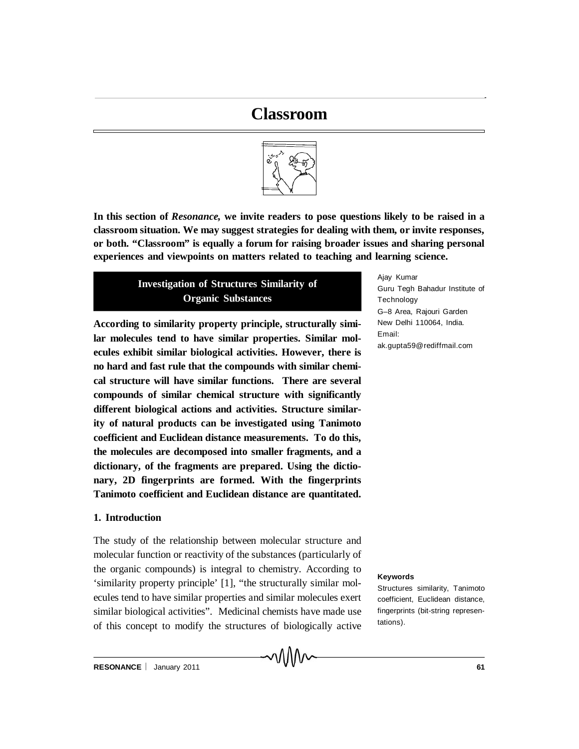# **Classroom**



**In this section of** *Resonance,* **we invite readers to pose questions likely to be raised in a classroom situation. We may suggest strategies for dealing with them, or invite responses, or both. "Classroom" is equally a forum for raising broader issues and sharing personal experiences and viewpoints on matters related to teaching and learning science.**

## **Investigation of Structures Similarity of Organic Substances**

**According to similarity property principle, structurally similar molecules tend to have similar properties. Similar molecules exhibit similar biological activities. However, there is no hard and fast rule that the compounds with similar chemical structure will have similar functions. There are several compounds of similar chemical structure with significantly different biological actions and activities. Structure similarity of natural products can be investigated using Tanimoto coefficient and Euclidean distance measurements. To do this, the molecules are decomposed into smaller fragments, and a dictionary, of the fragments are prepared. Using the dictionary, 2D fingerprints are formed. With the fingerprints Tanimoto coefficient and Euclidean distance are quantitated.**

### **1. Introduction**

The study of the relationship between molecular structure and molecular function or reactivity of the substances (particularly of the organic compounds) is integral to chemistry. According to 'similarity property principle' [1], "the structurally similar molecules tend to have similar properties and similar molecules exert similar biological activities". Medicinal chemists have made use of this concept to modify the structures of biologically active

Ajay Kumar Guru Tegh Bahadur Institute of **Technology** G–8 Area, Rajouri Garden New Delhi 110064, India. Email: ak.gupta59@rediffmail.com

#### **Keywords**

Structures similarity, Tanimoto coefficient, Euclidean distance, fingerprints (bit-string representations).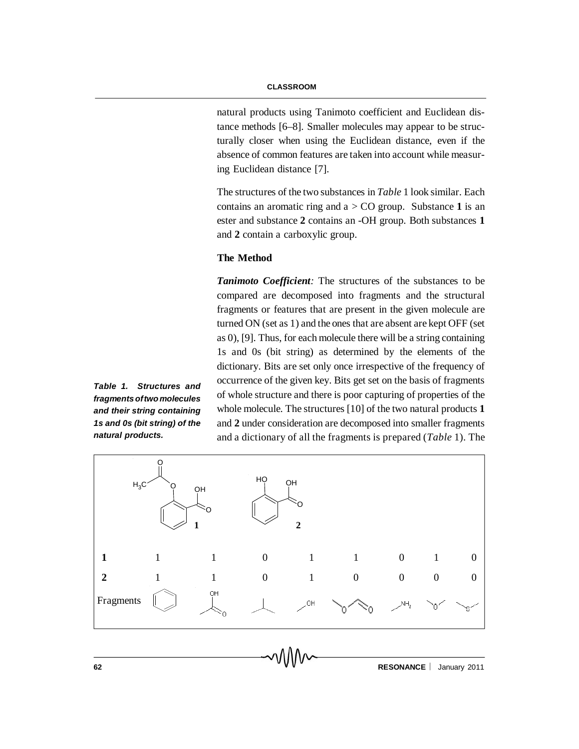natural products using Tanimoto coefficient and Euclidean distance methods [6–8]. Smaller molecules may appear to be structurally closer when using the Euclidean distance, even if the absence of common features are taken into account while measuring Euclidean distance [7].

The structures of the two substances in *Table* 1 look similar. Each contains an aromatic ring and  $a > CO$  group. Substance 1 is an ester and substance **2** contains an -OH group. Both substances **1** and **2** contain a carboxylic group.

#### **The Method**

*Tanimoto Coefficient:* The structures of the substances to be compared are decomposed into fragments and the structural fragments or features that are present in the given molecule are turned ON (set as 1) and the ones that are absent are kept OFF (set as 0), [9]. Thus, for each molecule there will be a string containing 1s and 0s (bit string) as determined by the elements of the dictionary. Bits are set only once irrespective of the frequency of occurrence of the given key. Bits get set on the basis of fragments of whole structure and there is poor capturing of properties of the whole molecule. The structures [10] of the two natural products **1** and **2** under consideration are decomposed into smaller fragments and a dictionary of all the fragments is prepared (*Table* 1). The



**62 RESONANCE** January 2011

*Table 1. Structures and fragments oftwo molecules and their string containing 1s and 0s (bit string) of the natural products.*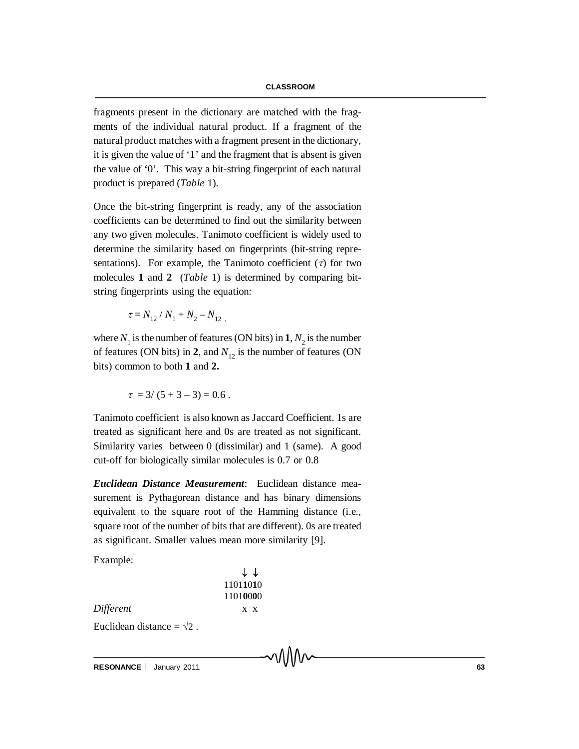fragments present in the dictionary are matched with the fragments of the individual natural product. If a fragment of the natural product matches with a fragment present in the dictionary, it is given the value of '1' and the fragment that is absent is given the value of '0'. This way a bit-string fingerprint of each natural product is prepared (*Table* 1).

Once the bit-string fingerprint is ready, any of the association coefficients can be determined to find out the similarity between any two given molecules. Tanimoto coefficient is widely used to determine the similarity based on fingerprints (bit-string representations). For example, the Tanimoto coefficient  $(\tau)$  for two molecules **1** and **2** (*Table* 1) is determined by comparing bitstring fingerprints using the equation:

$$
\tau = N_{12} / N_1 + N_2 - N_{12} ,
$$

where  $N_1$  is the number of features (ON bits) in **1**,  $N_2$  is the number of features (ON bits) in **2**, and  $N_{12}$  is the number of features (ON bits) common to both **1** and **2.**

$$
\tau = 3/(5 + 3 - 3) = 0.6
$$

Tanimoto coefficient is also known as Jaccard Coefficient. 1s are treated as significant here and 0s are treated as not significant. Similarity varies between 0 (dissimilar) and 1 (same). A good cut-off for biologically similar molecules is 0.7 or 0.8

*Euclidean Distance Measurement*: Euclidean distance measurement is Pythagorean distance and has binary dimensions equivalent to the square root of the Hamming distance (i.e., square root of the number of bits that are different). 0s are treated as significant. Smaller values mean more similarity [9].

Example:

↓↓ 1101**1**0**1**0 1101**0**0**0**0 *Different* x x

Euclidean distance =  $\sqrt{2}$ .